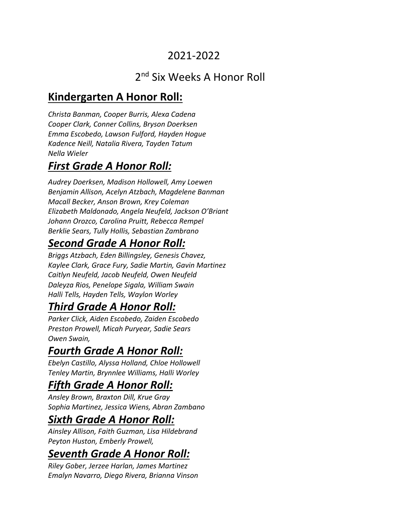### 2021-2022

# 2<sup>nd</sup> Six Weeks A Honor Roll

# **Kindergarten A Honor Roll:**

*Christa Banman, Cooper Burris, Alexa Cadena Cooper Clark, Conner Collins, Bryson Doerksen Emma Escobedo, Lawson Fulford, Hayden Hogue Kadence Neill, Natalia Rivera, Tayden Tatum Nella Wieler*

# *First Grade A Honor Roll:*

*Audrey Doerksen, Madison Hollowell, Amy Loewen Benjamin Allison, Acelyn Atzbach, Magdelene Banman Macall Becker, Anson Brown, Krey Coleman Elizabeth Maldonado, Angela Neufeld, Jackson O'Briant Johann Orozco, Carolina Pruitt, Rebecca Rempel Berklie Sears, Tully Hollis, Sebastian Zambrano* 

# *Second Grade A Honor Roll:*

*Briggs Atzbach, Eden Billingsley, Genesis Chavez, Kaylee Clark, Grace Fury, Sadie Martin, Gavin Martinez Caitlyn Neufeld, Jacob Neufeld, Owen Neufeld Daleyza Rios, Penelope Sigala, William Swain Halli Tells, Hayden Tells, Waylon Worley*

# *Third Grade A Honor Roll:*

*Parker Click, Aiden Escobedo, Zaiden Escobedo Preston Prowell, Micah Puryear, Sadie Sears Owen Swain,* 

#### *Fourth Grade A Honor Roll:*

*Ebelyn Castillo, Alyssa Holland, Chloe Hollowell Tenley Martin, Brynnlee Williams, Halli Worley*

# *Fifth Grade A Honor Roll:*

*Ansley Brown, Braxton Dill, Krue Gray Sophia Martinez, Jessica Wiens, Abran Zambano*

#### *Sixth Grade A Honor Roll:*

*Ainsley Allison, Faith Guzman, Lisa Hildebrand Peyton Huston, Emberly Prowell,* 

# *Seventh Grade A Honor Roll:*

*Riley Gober, Jerzee Harlan, James Martinez Emalyn Navarro, Diego Rivera, Brianna Vinson*